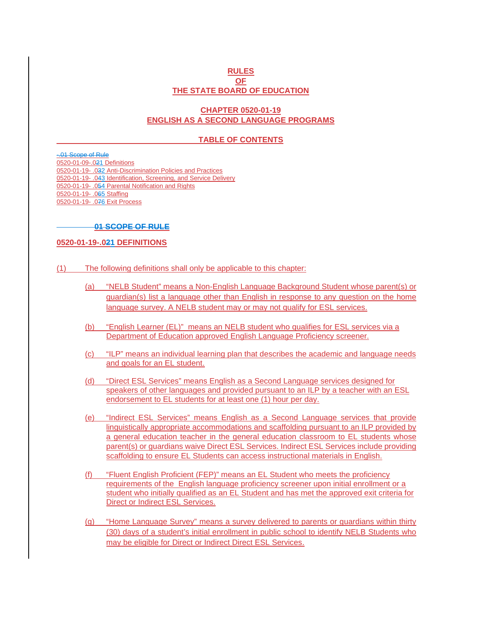## **RULES OF THE STATE BOARD OF EDUCATION**

## **CHAPTER 0520-01-19 ENGLISH AS A SECOND LANGUAGE PROGRAMS**

### **TABLE OF CONTENTS**

-.01 Scope of Rule 0520-01-09-.021 Definitions 0520-01-19- .032 Anti-Discrimination Policies and Practices 0520-01-19- .043 Identification, Screening, and Service Delivery 0520-01-19- .054 Parental Notification and Rights 0520-01-19- .065 Staffing 0520-01-19- .076 Exit Process

#### **01 SCOPE OF RULE**

### **0520-01-19-.021 DEFINITIONS**

- (1) The following definitions shall only be applicable to this chapter:
	- (a) "NELB Student" means a Non-English Language Background Student whose parent(s) or guardian(s) list a language other than English in response to any question on the home language survey. A NELB student may or may not qualify for ESL services.
	- (b) "English Learner (EL)" means an NELB student who qualifies for ESL services via a Department of Education approved English Language Proficiency screener.
	- (c) "ILP" means an individual learning plan that describes the academic and language needs and goals for an EL student.
	- (d) "Direct ESL Services" means English as a Second Language services designed for speakers of other languages and provided pursuant to an ILP by a teacher with an ESL endorsement to EL students for at least one (1) hour per day.
	- (e) "Indirect ESL Services" means English as a Second Language services that provide linguistically appropriate accommodations and scaffolding pursuant to an ILP provided by a general education teacher in the general education classroom to EL students whose parent(s) or guardians waive Direct ESL Services. Indirect ESL Services include providing scaffolding to ensure EL Students can access instructional materials in English.
	- (f) "Fluent English Proficient (FEP)" means an EL Student who meets the proficiency requirements of the English language proficiency screener upon initial enrollment or a student who initially qualified as an EL Student and has met the approved exit criteria for Direct or Indirect ESL Services.
	- (g) "Home Language Survey" means a survey delivered to parents or guardians within thirty (30) days of a student's initial enrollment in public school to identify NELB Students who may be eligible for Direct or Indirect Direct ESL Services.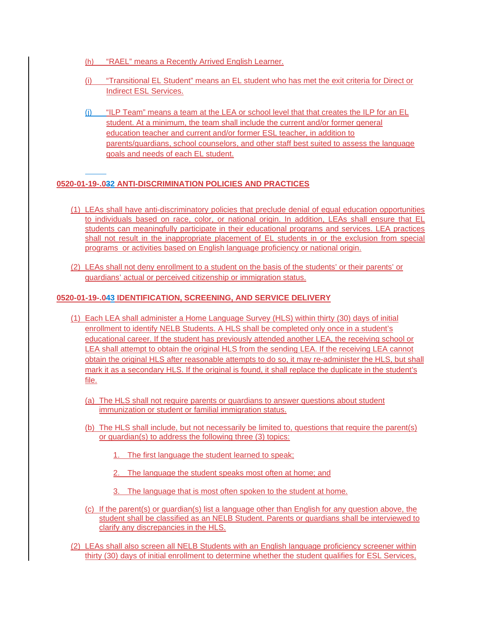- (h) "RAEL" means a Recently Arrived English Learner.
- (i) "Transitional EL Student" means an EL student who has met the exit criteria for Direct or Indirect ESL Services.
- (j) "ILP Team" means a team at the LEA or school level that that creates the ILP for an EL student. At a minimum, the team shall include the current and/or former general education teacher and current and/or former ESL teacher, in addition to parents/guardians, school counselors, and other staff best suited to assess the language goals and needs of each EL student.

# **0520-01-19-.032 ANTI-DISCRIMINATION POLICIES AND PRACTICES**

- (1) LEAs shall have anti-discriminatory policies that preclude denial of equal education opportunities to individuals based on race, color, or national origin. In addition, LEAs shall ensure that EL students can meaningfully participate in their educational programs and services. LEA practices shall not result in the inappropriate placement of EL students in or the exclusion from special programs or activities based on English language proficiency or national origin.
- (2) LEAs shall not deny enrollment to a student on the basis of the students' or their parents' or guardians' actual or perceived citizenship or immigration status.

# **0520-01-19-.043 IDENTIFICATION, SCREENING, AND SERVICE DELIVERY**

- (1) Each LEA shall administer a Home Language Survey (HLS) within thirty (30) days of initial enrollment to identify NELB Students. A HLS shall be completed only once in a student's educational career. If the student has previously attended another LEA, the receiving school or LEA shall attempt to obtain the original HLS from the sending LEA. If the receiving LEA cannot obtain the original HLS after reasonable attempts to do so, it may re-administer the HLS, but shall mark it as a secondary HLS. If the original is found, it shall replace the duplicate in the student's file.
	- (a) The HLS shall not require parents or guardians to answer questions about student immunization or student or familial immigration status.
	- (b) The HLS shall include, but not necessarily be limited to, questions that require the parent(s) or guardian(s) to address the following three (3) topics:
		- 1. The first language the student learned to speak;
		- 2. The language the student speaks most often at home; and
		- 3. The language that is most often spoken to the student at home.
	- (c) If the parent(s) or guardian(s) list a language other than English for any question above, the student shall be classified as an NELB Student. Parents or guardians shall be interviewed to clarify any discrepancies in the HLS.
- (2) LEAs shall also screen all NELB Students with an English language proficiency screener within thirty (30) days of initial enrollment to determine whether the student qualifies for ESL Services,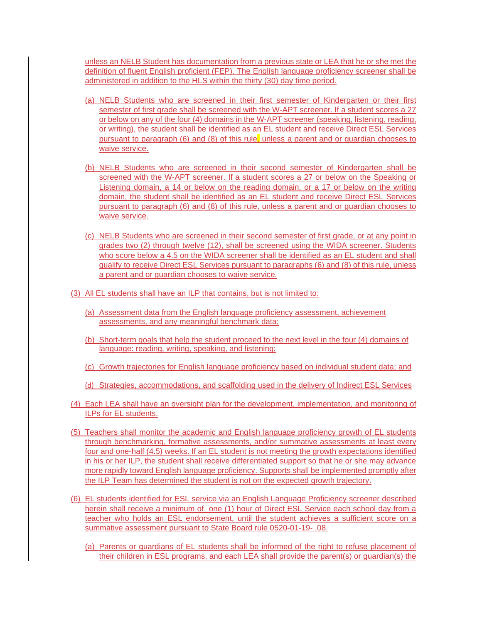unless an NELB Student has documentation from a previous state or LEA that he or she met the definition of fluent English proficient (FEP). The English language proficiency screener shall be administered in addition to the HLS within the thirty (30) day time period.

- (a) NELB Students who are screened in their first semester of Kindergarten or their first semester of first grade shall be screened with the W-APT screener. If a student scores a 27 or below on any of the four (4) domains in the W-APT screener (speaking, listening, reading, or writing), the student shall be identified as an EL student and receive Direct ESL Services pursuant to paragraph (6) and (8) of this rule, unless a parent and or guardian chooses to waive service.
- (b) NELB Students who are screened in their second semester of Kindergarten shall be screened with the W-APT screener. If a student scores a 27 or below on the Speaking or Listening domain, a 14 or below on the reading domain, or a 17 or below on the writing domain, the student shall be identified as an EL student and receive Direct ESL Services pursuant to paragraph (6) and (8) of this rule, unless a parent and or guardian chooses to waive service.
- (c) NELB Students who are screened in their second semester of first grade, or at any point in grades two (2) through twelve (12), shall be screened using the WIDA screener. Students who score below a 4.5 on the WIDA screener shall be identified as an EL student and shall qualify to receive Direct ESL Services pursuant to paragraphs (6) and (8) of this rule, unless a parent and or guardian chooses to waive service.
- (3) All EL students shall have an ILP that contains, but is not limited to:
	- (a) Assessment data from the English language proficiency assessment, achievement assessments, and any meaningful benchmark data;
	- (b) Short-term goals that help the student proceed to the next level in the four (4) domains of language: reading, writing, speaking, and listening;
	- (c) Growth trajectories for English language proficiency based on individual student data; and
	- (d) Strategies, accommodations, and scaffolding used in the delivery of Indirect ESL Services
- (4) Each LEA shall have an oversight plan for the development, implementation, and monitoring of ILPs for EL students.
- (5) Teachers shall monitor the academic and English language proficiency growth of EL students through benchmarking, formative assessments, and/or summative assessments at least every four and one-half (4.5) weeks. If an EL student is not meeting the growth expectations identified in his or her ILP, the student shall receive differentiated support so that he or she may advance more rapidly toward English language proficiency. Supports shall be implemented promptly after the ILP Team has determined the student is not on the expected growth trajectory.
- (6) EL students identified for ESL service via an English Language Proficiency screener described herein shall receive a minimum of one (1) hour of Direct ESL Service each school day from a teacher who holds an ESL endorsement, until the student achieves a sufficient score on a summative assessment pursuant to State Board rule 0520-01-19- .08.
	- (a) Parents or guardians of EL students shall be informed of the right to refuse placement of their children in ESL programs, and each LEA shall provide the parent(s) or guardian(s) the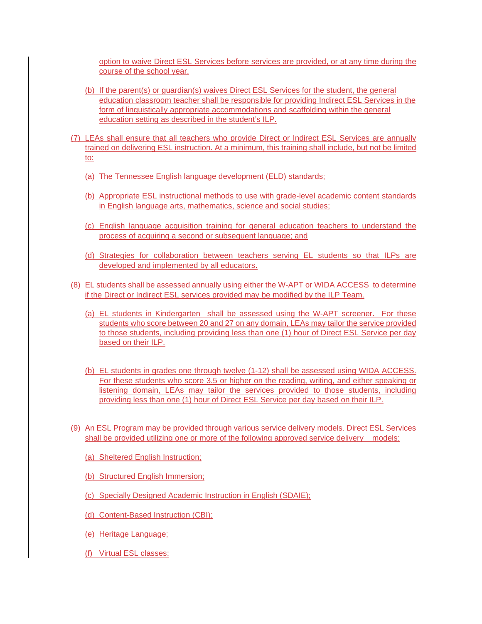option to waive Direct ESL Services before services are provided, or at any time during the course of the school year.

- (b) If the parent(s) or guardian(s) waives Direct ESL Services for the student, the general education classroom teacher shall be responsible for providing Indirect ESL Services in the form of linguistically appropriate accommodations and scaffolding within the general education setting as described in the student's ILP.
- (7) LEAs shall ensure that all teachers who provide Direct or Indirect ESL Services are annually trained on delivering ESL instruction. At a minimum, this training shall include, but not be limited to:
	- (a) The Tennessee English language development (ELD) standards;
	- (b) Appropriate ESL instructional methods to use with grade-level academic content standards in English language arts, mathematics, science and social studies;
	- (c) English language acquisition training for general education teachers to understand the process of acquiring a second or subsequent language; and
	- (d) Strategies for collaboration between teachers serving EL students so that ILPs are developed and implemented by all educators.
- (8) EL students shall be assessed annually using either the W-APT or WIDA ACCESS to determine if the Direct or Indirect ESL services provided may be modified by the ILP Team.
	- (a) EL students in Kindergarten shall be assessed using the W-APT screener. For these students who score between 20 and 27 on any domain, LEAs may tailor the service provided to those students, including providing less than one (1) hour of Direct ESL Service per day based on their ILP.
	- (b) EL students in grades one through twelve (1-12) shall be assessed using WIDA ACCESS. For these students who score 3.5 or higher on the reading, writing, and either speaking or listening domain, LEAs may tailor the services provided to those students, including providing less than one (1) hour of Direct ESL Service per day based on their ILP.
- (9) An ESL Program may be provided through various service delivery models. Direct ESL Services shall be provided utilizing one or more of the following approved service delivery models:
	- (a) Sheltered English Instruction;
	- (b) Structured English Immersion;
	- (c) Specially Designed Academic Instruction in English (SDAIE);
	- (d) Content-Based Instruction (CBI);
	- (e) Heritage Language;
	- (f) Virtual ESL classes;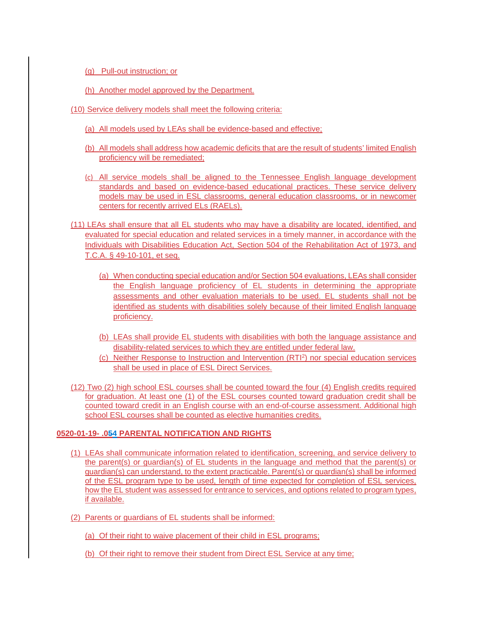- (g) Pull-out instruction; or
- (h) Another model approved by the Department.
- (10) Service delivery models shall meet the following criteria:
	- (a) All models used by LEAs shall be evidence-based and effective;
	- (b) All models shall address how academic deficits that are the result of students' limited English proficiency will be remediated;
	- (c) All service models shall be aligned to the Tennessee English language development standards and based on evidence-based educational practices. These service delivery models may be used in ESL classrooms, general education classrooms, or in newcomer centers for recently arrived ELs (RAELs).
- (11) LEAs shall ensure that all EL students who may have a disability are located, identified, and evaluated for special education and related services in a timely manner, in accordance with the Individuals with Disabilities Education Act, Section 504 of the Rehabilitation Act of 1973, and T.C.A. § 49-10-101, et seq.
	- (a) When conducting special education and/or Section 504 evaluations, LEAs shall consider the English language proficiency of EL students in determining the appropriate assessments and other evaluation materials to be used. EL students shall not be identified as students with disabilities solely because of their limited English language proficiency.
	- (b) LEAs shall provide EL students with disabilities with both the language assistance and disability-related services to which they are entitled under federal law.
	- (c) Neither Response to Instruction and Intervention (RTI2) nor special education services shall be used in place of ESL Direct Services.
- (12) Two (2) high school ESL courses shall be counted toward the four (4) English credits required for graduation. At least one (1) of the ESL courses counted toward graduation credit shall be counted toward credit in an English course with an end-of-course assessment. Additional high school ESL courses shall be counted as elective humanities credits.

# **0520-01-19- .054 PARENTAL NOTIFICATION AND RIGHTS**

- (1) LEAs shall communicate information related to identification, screening, and service delivery to the parent(s) or guardian(s) of EL students in the language and method that the parent(s) or guardian(s) can understand, to the extent practicable. Parent(s) or guardian(s) shall be informed of the ESL program type to be used, length of time expected for completion of ESL services, how the EL student was assessed for entrance to services, and options related to program types, if available.
- (2) Parents or guardians of EL students shall be informed:
	- (a) Of their right to waive placement of their child in ESL programs;
	- (b) Of their right to remove their student from Direct ESL Service at any time;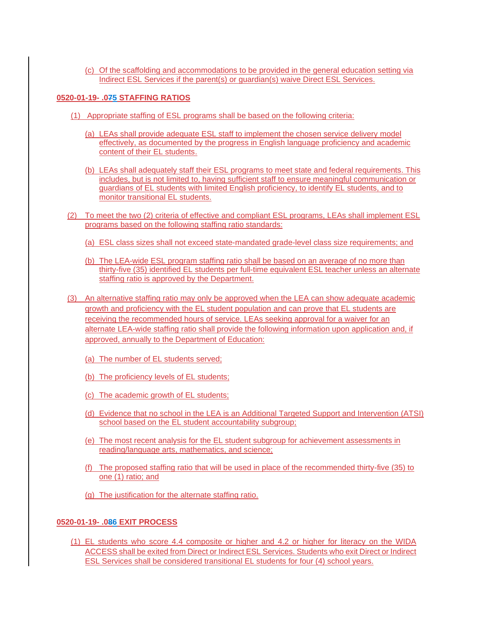(c) Of the scaffolding and accommodations to be provided in the general education setting via Indirect ESL Services if the parent(s) or guardian(s) waive Direct ESL Services.

## **0520-01-19- .075 STAFFING RATIOS**

- (1) Appropriate staffing of ESL programs shall be based on the following criteria:
	- (a) LEAs shall provide adequate ESL staff to implement the chosen service delivery model effectively, as documented by the progress in English language proficiency and academic content of their EL students.
	- (b) LEAs shall adequately staff their ESL programs to meet state and federal requirements. This includes, but is not limited to, having sufficient staff to ensure meaningful communication or guardians of EL students with limited English proficiency, to identify EL students, and to monitor transitional EL students.
- (2) To meet the two (2) criteria of effective and compliant ESL programs, LEAs shall implement ESL programs based on the following staffing ratio standards:
	- (a) ESL class sizes shall not exceed state-mandated grade-level class size requirements; and
	- (b) The LEA-wide ESL program staffing ratio shall be based on an average of no more than thirty-five (35) identified EL students per full-time equivalent ESL teacher unless an alternate staffing ratio is approved by the Department.
- (3) An alternative staffing ratio may only be approved when the LEA can show adequate academic growth and proficiency with the EL student population and can prove that EL students are receiving the recommended hours of service. LEAs seeking approval for a waiver for an alternate LEA-wide staffing ratio shall provide the following information upon application and, if approved, annually to the Department of Education:

(a) The number of EL students served;

(b) The proficiency levels of EL students;

- (c) The academic growth of EL students;
- (d) Evidence that no school in the LEA is an Additional Targeted Support and Intervention (ATSI) school based on the EL student accountability subgroup;
- (e) The most recent analysis for the EL student subgroup for achievement assessments in reading/language arts, mathematics, and science;
- (f) The proposed staffing ratio that will be used in place of the recommended thirty-five (35) to one (1) ratio; and
- (g) The justification for the alternate staffing ratio.

# **0520-01-19- .086 EXIT PROCESS**

(1) EL students who score 4.4 composite or higher and 4.2 or higher for literacy on the WIDA ACCESS shall be exited from Direct or Indirect ESL Services. Students who exit Direct or Indirect ESL Services shall be considered transitional EL students for four (4) school years.